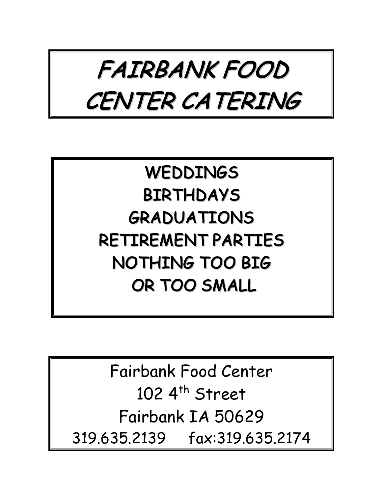

## WEDDINGS BIRTHDAYS GRADUATIONS RETIREMENT PARTIES NOTHING TOO BIG OR TOO SMALL

Fairbank Food Center 102  $4<sup>th</sup>$  Street Fairbank IA 50629 319.635.2139 fax:319.635.2174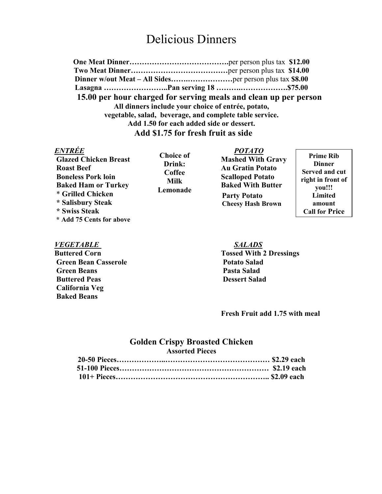### Delicious Dinners

**One Meat Dinner………………………………….**per person plus tax **\$12.00 Two Meat Dinner…………………………………**per person plus tax **\$14.00 Dinner w/out Meat – All Sides…….………………**per person plus tax **\$8.00 Lasagna ……………………..Pan serving 18 ……….……………….\$75.00 15.00 per hour charged for serving meals and clean up per person All dinners include your choice of entrée, potato, vegetable, salad, beverage, and complete table service. Add 1.50 for each added side or dessert. Add \$1.75 for fresh fruit as side**

#### *ENTRÉE POTATO*

**Roast Beef Au Gratin Potato Au Gratin Potato Boneless Pork loin** Scalloped Potato **Baked Ham or Turkey** The Baked With Butter \* **Grilled Chicken \* Salisbury Steak \* Swiss Steak \* Add 75 Cents for above**

**Choice of Drink: Coffee Milk Lemonade**

Glazed Chicken Breast **Mashed With Gravy Party Potato Cheesy Hash Brown**

**Prime Rib Dinner Served and cut right in front of you!!! Limited amount Call for Price** 

#### *VEGETABLE SALADS*

**Green Bean Casserole Potato Salad Green Beans** Pasta Salad **Buttered Peas Dessert Salad California Veg Baked Beans** 

# **Buttered Corn Tossed With 2 Dressings**

**Fresh Fruit add 1.75 with meal** 

#### **Golden Crispy Broasted Chicken Assorted Pieces**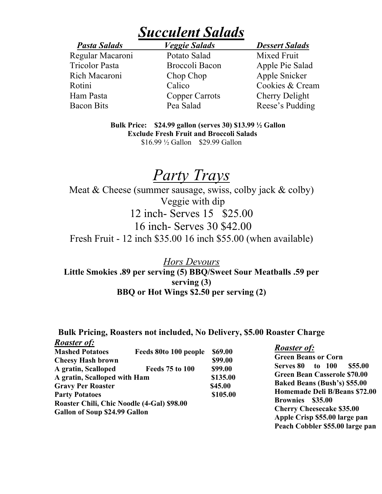## *Succulent Salads*

 Regular Macaroni Potato Salad Mixed Fruit Tricolor Pasta Broccoli Bacon Apple Pie Salad Rich Macaroni Chop Chop Apple Snicker Ham Pasta Copper Carrots Cherry Delight

*Pasta Salads Veggie Salads Dessert Salads* 

Rotini Calico Cookies & Cream Bacon Bits Pea Salad Reese's Pudding

> **Bulk Price: \$24.99 gallon (serves 30) \$13.99 ½ Gallon Exclude Fresh Fruit and Broccoli Salads** \$16.99 ½ Gallon \$29.99 Gallon

## *Party Trays*

Meat & Cheese (summer sausage, swiss, colby jack & colby) Veggie with dip 12 inch- Serves 15 \$25.00 16 inch- Serves 30 \$42.00 Fresh Fruit - 12 inch \$35.00 16 inch \$55.00 (when available)

*Hors Devours*  **Little Smokies .89 per serving (5) BBQ/Sweet Sour Meatballs .59 per serving (3) BBQ or Hot Wings \$2.50 per serving (2)**

#### **Bulk Pricing, Roasters not included, No Delivery, \$5.00 Roaster Charge**

| <b>Roaster of:</b>                                                                |                        |                                 |                                                                                                             |                                       |                                            |  |  |                                  |
|-----------------------------------------------------------------------------------|------------------------|---------------------------------|-------------------------------------------------------------------------------------------------------------|---------------------------------------|--------------------------------------------|--|--|----------------------------------|
| <b>Mashed Potatoes</b>                                                            | Feeds 80to 100 people  | \$69.00                         | <b>Roaster of:</b>                                                                                          |                                       |                                            |  |  |                                  |
| \$99.00<br><b>Cheesy Hash brown</b>                                               |                        |                                 | <b>Green Beans or Corn</b>                                                                                  |                                       |                                            |  |  |                                  |
| A gratin, Scalloped                                                               | <b>Feeds 75 to 100</b> | \$99.00                         |                                                                                                             | \$55.00<br>to 100<br><b>Serves 80</b> |                                            |  |  |                                  |
| A gratin, Scalloped with Ham<br><b>Gravy Per Roaster</b><br><b>Party Potatoes</b> |                        | \$135.00<br>\$45.00<br>\$105.00 | <b>Green Bean Casserole \$70.00</b><br><b>Baked Beans (Bush's) \$55.00</b><br>Homemade Deli B/Beans \$72.00 |                                       |                                            |  |  |                                  |
|                                                                                   |                        |                                 |                                                                                                             |                                       | Roaster Chili, Chic Noodle (4-Gal) \$98.00 |  |  | <b>Brownies</b><br>\$35.00       |
|                                                                                   |                        |                                 |                                                                                                             |                                       | Gallon of Soup \$24.99 Gallon              |  |  | <b>Cherry Cheesecake \$35.00</b> |
|                                                                                   |                        |                                 | Apple Crisp \$55.00 large pan                                                                               |                                       |                                            |  |  |                                  |
|                                                                                   |                        |                                 | Peach Cobbler \$55.00 large pan                                                                             |                                       |                                            |  |  |                                  |